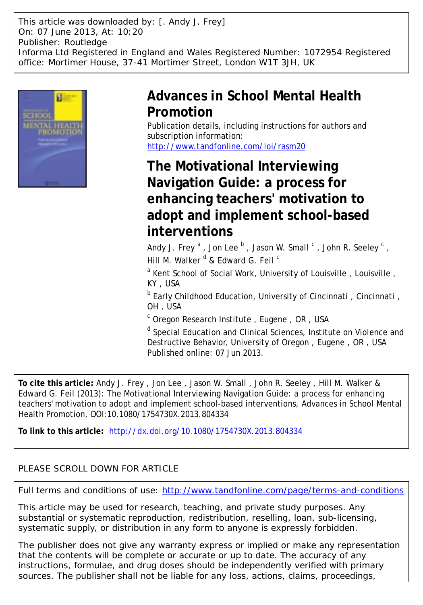This article was downloaded by: [. Andy J. Frey] On: 07 June 2013, At: 10:20 Publisher: Routledge Informa Ltd Registered in England and Wales Registered Number: 1072954 Registered office: Mortimer House, 37-41 Mortimer Street, London W1T 3JH, UK



# **Advances in School Mental Health Promotion**

Publication details, including instructions for authors and subscription information: <http://www.tandfonline.com/loi/rasm20>

**The Motivational Interviewing Navigation Guide: a process for enhancing teachers' motivation to adopt and implement school-based interventions**

Andy J. Frey <sup>a</sup>, Jon Lee <sup>b</sup>, Jason W. Small <sup>c</sup>, John R. Seeley <sup>c</sup>, Hill M. Walker <sup>d</sup> & Edward G. Feil <sup>c</sup>

<sup>a</sup> Kent School of Social Work, University of Louisville , Louisville, KY , USA

<sup>b</sup> Early Childhood Education, University of Cincinnati, Cincinnati, OH , USA

<sup>c</sup> Oregon Research Institute, Eugene, OR, USA

<sup>d</sup> Special Education and Clinical Sciences, Institute on Violence and Destructive Behavior, University of Oregon , Eugene , OR , USA Published online: 07 Jun 2013.

**To cite this article:** Andy J. Frey , Jon Lee , Jason W. Small , John R. Seeley , Hill M. Walker & Edward G. Feil (2013): The Motivational Interviewing Navigation Guide: a process for enhancing teachers' motivation to adopt and implement school-based interventions, Advances in School Mental Health Promotion, DOI:10.1080/1754730X.2013.804334

**To link to this article:** <http://dx.doi.org/10.1080/1754730X.2013.804334>

# PLEASE SCROLL DOWN FOR ARTICLE

Full terms and conditions of use:<http://www.tandfonline.com/page/terms-and-conditions>

This article may be used for research, teaching, and private study purposes. Any substantial or systematic reproduction, redistribution, reselling, loan, sub-licensing, systematic supply, or distribution in any form to anyone is expressly forbidden.

The publisher does not give any warranty express or implied or make any representation that the contents will be complete or accurate or up to date. The accuracy of any instructions, formulae, and drug doses should be independently verified with primary sources. The publisher shall not be liable for any loss, actions, claims, proceedings,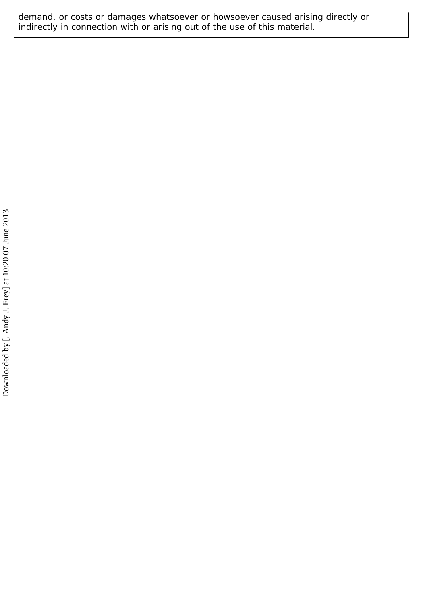demand, or costs or damages whatsoever or howsoever caused arising directly or indirectly in connection with or arising out of the use of this material.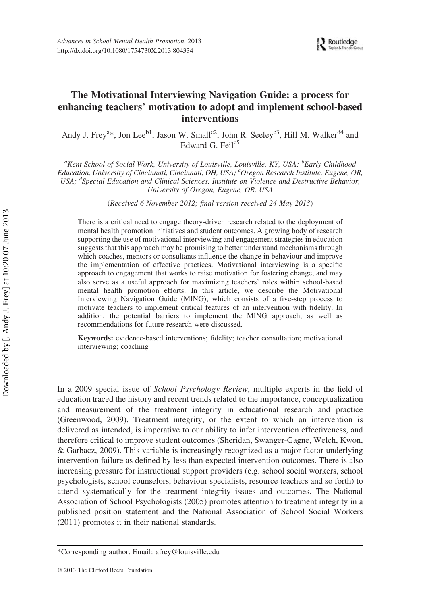# The Motivational Interviewing Navigation Guide: a process for enhancing teachers' motivation to adopt and implement school-based interventions

Andy J. Frey<sup>a\*</sup>, Jon Lee<sup>b1</sup>, Jason W. Small<sup>c2</sup>, John R. Seeley<sup>c3</sup>, Hill M. Walker<sup>d4</sup> and Edward G. Feil $<sup>c5</sup>$ </sup>

<sup>a</sup>Kent School of Social Work, University of Louisville, Louisville, KY, USA; <sup>b</sup>Early Childhood Education, University of Cincinnati, Cincinnati, OH, USA; <sup>c</sup>Oregon Research Institute, Eugene, OR, USA; <sup>d</sup>Special Education and Clinical Sciences, Institute on Violence and Destructive Behavior, University of Oregon, Eugene, OR, USA

(Received 6 November 2012; final version received 24 May 2013)

There is a critical need to engage theory-driven research related to the deployment of mental health promotion initiatives and student outcomes. A growing body of research supporting the use of motivational interviewing and engagement strategies in education suggests that this approach may be promising to better understand mechanisms through which coaches, mentors or consultants influence the change in behaviour and improve the implementation of effective practices. Motivational interviewing is a specific approach to engagement that works to raise motivation for fostering change, and may also serve as a useful approach for maximizing teachers' roles within school-based mental health promotion efforts. In this article, we describe the Motivational Interviewing Navigation Guide (MING), which consists of a five-step process to motivate teachers to implement critical features of an intervention with fidelity. In addition, the potential barriers to implement the MING approach, as well as recommendations for future research were discussed.

Keywords: evidence-based interventions; fidelity; teacher consultation; motivational interviewing; coaching

In a 2009 special issue of *School Psychology Review*, multiple experts in the field of education traced the history and recent trends related to the importance, conceptualization and measurement of the treatment integrity in educational research and practice (Greenwood, 2009). Treatment integrity, or the extent to which an intervention is delivered as intended, is imperative to our ability to infer intervention effectiveness, and therefore critical to improve student outcomes (Sheridan, Swanger-Gagne, Welch, Kwon, & Garbacz, 2009). This variable is increasingly recognized as a major factor underlying intervention failure as defined by less than expected intervention outcomes. There is also increasing pressure for instructional support providers (e.g. school social workers, school psychologists, school counselors, behaviour specialists, resource teachers and so forth) to attend systematically for the treatment integrity issues and outcomes. The National Association of School Psychologists (2005) promotes attention to treatment integrity in a published position statement and the National Association of School Social Workers (2011) promotes it in their national standards.

<sup>\*</sup>Corresponding author. Email: afrey@louisville.edu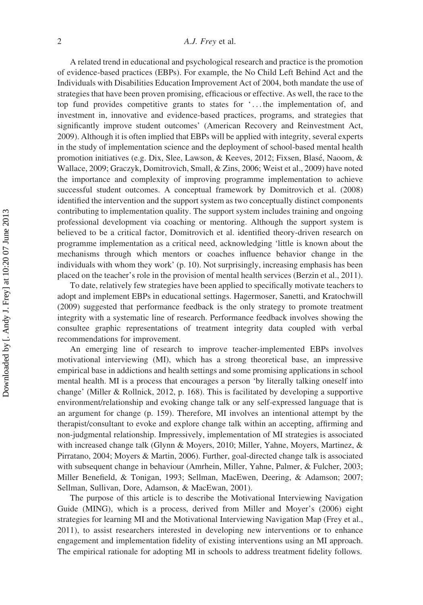#### 2 A.J. Frey et al.

A related trend in educational and psychological research and practice is the promotion of evidence-based practices (EBPs). For example, the No Child Left Behind Act and the Individuals with Disabilities Education Improvement Act of 2004, both mandate the use of strategies that have been proven promising, efficacious or effective. As well, the race to the top fund provides competitive grants to states for ' ... the implementation of, and investment in, innovative and evidence-based practices, programs, and strategies that significantly improve student outcomes' (American Recovery and Reinvestment Act, 2009). Although it is often implied that EBPs will be applied with integrity, several experts in the study of implementation science and the deployment of school-based mental health promotion initiatives (e.g. Dix, Slee, Lawson, & Keeves, 2012; Fixsen, Blasé, Naoom, & Wallace, 2009; Graczyk, Domitrovich, Small, & Zins, 2006; Weist et al., 2009) have noted the importance and complexity of improving programme implementation to achieve successful student outcomes. A conceptual framework by Domitrovich et al. (2008) identified the intervention and the support system as two conceptually distinct components contributing to implementation quality. The support system includes training and ongoing professional development via coaching or mentoring. Although the support system is believed to be a critical factor, Domitrovich et al. identified theory-driven research on programme implementation as a critical need, acknowledging 'little is known about the mechanisms through which mentors or coaches influence behavior change in the individuals with whom they work' (p. 10). Not surprisingly, increasing emphasis has been placed on the teacher's role in the provision of mental health services (Berzin et al., 2011).

To date, relatively few strategies have been applied to specifically motivate teachers to adopt and implement EBPs in educational settings. Hagermoser, Sanetti, and Kratochwill (2009) suggested that performance feedback is the only strategy to promote treatment integrity with a systematic line of research. Performance feedback involves showing the consultee graphic representations of treatment integrity data coupled with verbal recommendations for improvement.

An emerging line of research to improve teacher-implemented EBPs involves motivational interviewing (MI), which has a strong theoretical base, an impressive empirical base in addictions and health settings and some promising applications in school mental health. MI is a process that encourages a person 'by literally talking oneself into change' (Miller & Rollnick, 2012, p. 168). This is facilitated by developing a supportive environment/relationship and evoking change talk or any self-expressed language that is an argument for change (p. 159). Therefore, MI involves an intentional attempt by the therapist/consultant to evoke and explore change talk within an accepting, affirming and non-judgmental relationship. Impressively, implementation of MI strategies is associated with increased change talk (Glynn & Moyers, 2010; Miller, Yahne, Moyers, Martinez, & Pirratano, 2004; Moyers & Martin, 2006). Further, goal-directed change talk is associated with subsequent change in behaviour (Amrhein, Miller, Yahne, Palmer, & Fulcher, 2003; Miller Benefield, & Tonigan, 1993; Sellman, MacEwen, Deering, & Adamson; 2007; Sellman, Sullivan, Dore, Adamson, & MacEwan, 2001).

The purpose of this article is to describe the Motivational Interviewing Navigation Guide (MING), which is a process, derived from Miller and Moyer's (2006) eight strategies for learning MI and the Motivational Interviewing Navigation Map (Frey et al., 2011), to assist researchers interested in developing new interventions or to enhance engagement and implementation fidelity of existing interventions using an MI approach. The empirical rationale for adopting MI in schools to address treatment fidelity follows.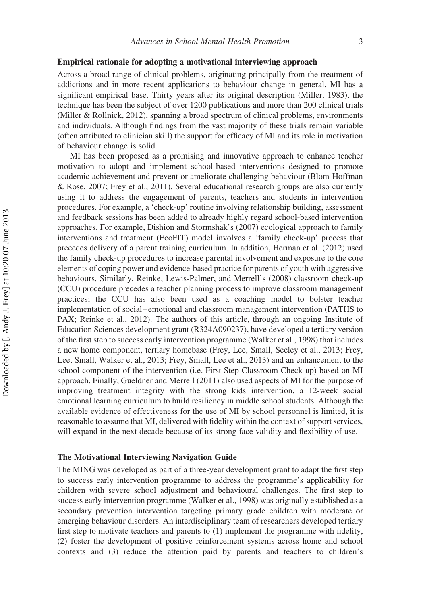# Empirical rationale for adopting a motivational interviewing approach

Across a broad range of clinical problems, originating principally from the treatment of addictions and in more recent applications to behaviour change in general, MI has a significant empirical base. Thirty years after its original description (Miller, 1983), the technique has been the subject of over 1200 publications and more than 200 clinical trials (Miller & Rollnick, 2012), spanning a broad spectrum of clinical problems, environments and individuals. Although findings from the vast majority of these trials remain variable (often attributed to clinician skill) the support for efficacy of MI and its role in motivation of behaviour change is solid.

MI has been proposed as a promising and innovative approach to enhance teacher motivation to adopt and implement school-based interventions designed to promote academic achievement and prevent or ameliorate challenging behaviour (Blom-Hoffman & Rose, 2007; Frey et al., 2011). Several educational research groups are also currently using it to address the engagement of parents, teachers and students in intervention procedures. For example, a 'check-up' routine involving relationship building, assessment and feedback sessions has been added to already highly regard school-based intervention approaches. For example, Dishion and Stormshak's (2007) ecological approach to family interventions and treatment (EcoFIT) model involves a 'family check-up' process that precedes delivery of a parent training curriculum. In addition, Herman et al. (2012) used the family check-up procedures to increase parental involvement and exposure to the core elements of coping power and evidence-based practice for parents of youth with aggressive behaviours. Similarly, Reinke, Lewis-Palmer, and Merrell's (2008) classroom check-up (CCU) procedure precedes a teacher planning process to improve classroom management practices; the CCU has also been used as a coaching model to bolster teacher implementation of social –emotional and classroom management intervention (PATHS to PAX; Reinke et al., 2012). The authors of this article, through an ongoing Institute of Education Sciences development grant (R324A090237), have developed a tertiary version of the first step to success early intervention programme (Walker et al., 1998) that includes a new home component, tertiary homebase (Frey, Lee, Small, Seeley et al., 2013; Frey, Lee, Small, Walker et al., 2013; Frey, Small, Lee et al., 2013) and an enhancement to the school component of the intervention (i.e. First Step Classroom Check-up) based on MI approach. Finally, Gueldner and Merrell (2011) also used aspects of MI for the purpose of improving treatment integrity with the strong kids intervention, a 12-week social emotional learning curriculum to build resiliency in middle school students. Although the available evidence of effectiveness for the use of MI by school personnel is limited, it is reasonable to assume that MI, delivered with fidelity within the context of support services, will expand in the next decade because of its strong face validity and flexibility of use.

#### The Motivational Interviewing Navigation Guide

The MING was developed as part of a three-year development grant to adapt the first step to success early intervention programme to address the programme's applicability for children with severe school adjustment and behavioural challenges. The first step to success early intervention programme (Walker et al., 1998) was originally established as a secondary prevention intervention targeting primary grade children with moderate or emerging behaviour disorders. An interdisciplinary team of researchers developed tertiary first step to motivate teachers and parents to (1) implement the programme with fidelity, (2) foster the development of positive reinforcement systems across home and school contexts and (3) reduce the attention paid by parents and teachers to children's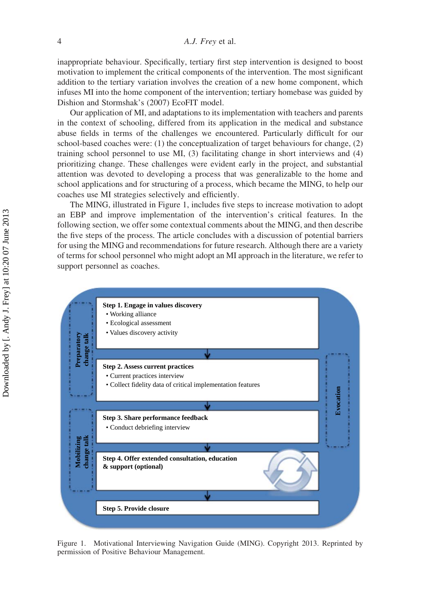inappropriate behaviour. Specifically, tertiary first step intervention is designed to boost motivation to implement the critical components of the intervention. The most significant addition to the tertiary variation involves the creation of a new home component, which infuses MI into the home component of the intervention; tertiary homebase was guided by Dishion and Stormshak's (2007) EcoFIT model.

Our application of MI, and adaptations to its implementation with teachers and parents in the context of schooling, differed from its application in the medical and substance abuse fields in terms of the challenges we encountered. Particularly difficult for our school-based coaches were: (1) the conceptualization of target behaviours for change, (2) training school personnel to use MI, (3) facilitating change in short interviews and (4) prioritizing change. These challenges were evident early in the project, and substantial attention was devoted to developing a process that was generalizable to the home and school applications and for structuring of a process, which became the MING, to help our coaches use MI strategies selectively and efficiently.

The MING, illustrated in Figure 1, includes five steps to increase motivation to adopt an EBP and improve implementation of the intervention's critical features. In the following section, we offer some contextual comments about the MING, and then describe the five steps of the process. The article concludes with a discussion of potential barriers for using the MING and recommendations for future research. Although there are a variety of terms for school personnel who might adopt an MI approach in the literature, we refer to support personnel as coaches.



Figure 1. Motivational Interviewing Navigation Guide (MING). Copyright 2013. Reprinted by permission of Positive Behaviour Management.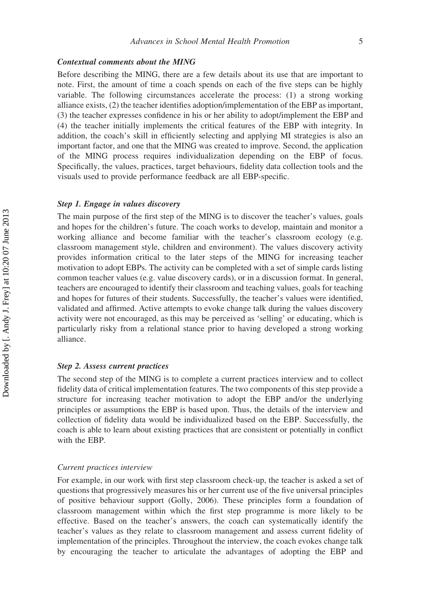# Contextual comments about the MING

Before describing the MING, there are a few details about its use that are important to note. First, the amount of time a coach spends on each of the five steps can be highly variable. The following circumstances accelerate the process: (1) a strong working alliance exists, (2) the teacher identifies adoption/implementation of the EBP as important, (3) the teacher expresses confidence in his or her ability to adopt/implement the EBP and (4) the teacher initially implements the critical features of the EBP with integrity. In addition, the coach's skill in efficiently selecting and applying MI strategies is also an important factor, and one that the MING was created to improve. Second, the application of the MING process requires individualization depending on the EBP of focus. Specifically, the values, practices, target behaviours, fidelity data collection tools and the visuals used to provide performance feedback are all EBP-specific.

# Step 1. Engage in values discovery

The main purpose of the first step of the MING is to discover the teacher's values, goals and hopes for the children's future. The coach works to develop, maintain and monitor a working alliance and become familiar with the teacher's classroom ecology (e.g. classroom management style, children and environment). The values discovery activity provides information critical to the later steps of the MING for increasing teacher motivation to adopt EBPs. The activity can be completed with a set of simple cards listing common teacher values (e.g. value discovery cards), or in a discussion format. In general, teachers are encouraged to identify their classroom and teaching values, goals for teaching and hopes for futures of their students. Successfully, the teacher's values were identified, validated and affirmed. Active attempts to evoke change talk during the values discovery activity were not encouraged, as this may be perceived as 'selling' or educating, which is particularly risky from a relational stance prior to having developed a strong working alliance.

#### Step 2. Assess current practices

The second step of the MING is to complete a current practices interview and to collect fidelity data of critical implementation features. The two components of this step provide a structure for increasing teacher motivation to adopt the EBP and/or the underlying principles or assumptions the EBP is based upon. Thus, the details of the interview and collection of fidelity data would be individualized based on the EBP. Successfully, the coach is able to learn about existing practices that are consistent or potentially in conflict with the EBP.

#### Current practices interview

For example, in our work with first step classroom check-up, the teacher is asked a set of questions that progressively measures his or her current use of the five universal principles of positive behaviour support (Golly, 2006). These principles form a foundation of classroom management within which the first step programme is more likely to be effective. Based on the teacher's answers, the coach can systematically identify the teacher's values as they relate to classroom management and assess current fidelity of implementation of the principles. Throughout the interview, the coach evokes change talk by encouraging the teacher to articulate the advantages of adopting the EBP and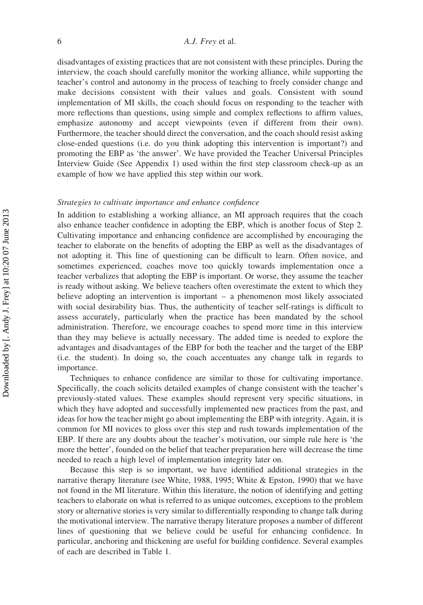## 6 A.J. Frey et al.

disadvantages of existing practices that are not consistent with these principles. During the interview, the coach should carefully monitor the working alliance, while supporting the teacher's control and autonomy in the process of teaching to freely consider change and make decisions consistent with their values and goals. Consistent with sound implementation of MI skills, the coach should focus on responding to the teacher with more reflections than questions, using simple and complex reflections to affirm values, emphasize autonomy and accept viewpoints (even if different from their own). Furthermore, the teacher should direct the conversation, and the coach should resist asking close-ended questions (i.e. do you think adopting this intervention is important?) and promoting the EBP as 'the answer'. We have provided the Teacher Universal Principles Interview Guide (See Appendix 1) used within the first step classroom check-up as an example of how we have applied this step within our work.

# Strategies to cultivate importance and enhance confidence

In addition to establishing a working alliance, an MI approach requires that the coach also enhance teacher confidence in adopting the EBP, which is another focus of Step 2. Cultivating importance and enhancing confidence are accomplished by encouraging the teacher to elaborate on the benefits of adopting the EBP as well as the disadvantages of not adopting it. This line of questioning can be difficult to learn. Often novice, and sometimes experienced, coaches move too quickly towards implementation once a teacher verbalizes that adopting the EBP is important. Or worse, they assume the teacher is ready without asking. We believe teachers often overestimate the extent to which they believe adopting an intervention is important – a phenomenon most likely associated with social desirability bias. Thus, the authenticity of teacher self-ratings is difficult to assess accurately, particularly when the practice has been mandated by the school administration. Therefore, we encourage coaches to spend more time in this interview than they may believe is actually necessary. The added time is needed to explore the advantages and disadvantages of the EBP for both the teacher and the target of the EBP (i.e. the student). In doing so, the coach accentuates any change talk in regards to importance.

Techniques to enhance confidence are similar to those for cultivating importance. Specifically, the coach solicits detailed examples of change consistent with the teacher's previously-stated values. These examples should represent very specific situations, in which they have adopted and successfully implemented new practices from the past, and ideas for how the teacher might go about implementing the EBP with integrity. Again, it is common for MI novices to gloss over this step and rush towards implementation of the EBP. If there are any doubts about the teacher's motivation, our simple rule here is 'the more the better', founded on the belief that teacher preparation here will decrease the time needed to reach a high level of implementation integrity later on.

Because this step is so important, we have identified additional strategies in the narrative therapy literature (see White, 1988, 1995; White & Epston, 1990) that we have not found in the MI literature. Within this literature, the notion of identifying and getting teachers to elaborate on what is referred to as unique outcomes, exceptions to the problem story or alternative stories is very similar to differentially responding to change talk during the motivational interview. The narrative therapy literature proposes a number of different lines of questioning that we believe could be useful for enhancing confidence. In particular, anchoring and thickening are useful for building confidence. Several examples of each are described in Table 1.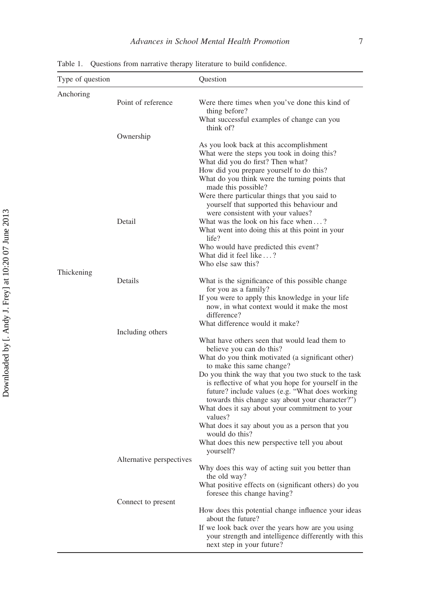| Type of question |                          | Question                                                                                                                                                                                                        |
|------------------|--------------------------|-----------------------------------------------------------------------------------------------------------------------------------------------------------------------------------------------------------------|
| Anchoring        |                          |                                                                                                                                                                                                                 |
|                  | Point of reference       | Were there times when you've done this kind of<br>thing before?                                                                                                                                                 |
|                  |                          | What successful examples of change can you<br>think of?                                                                                                                                                         |
|                  | Ownership                |                                                                                                                                                                                                                 |
|                  |                          | As you look back at this accomplishment<br>What were the steps you took in doing this?<br>What did you do first? Then what?                                                                                     |
|                  |                          | How did you prepare yourself to do this?<br>What do you think were the turning points that                                                                                                                      |
|                  |                          | made this possible?<br>Were there particular things that you said to<br>yourself that supported this behaviour and                                                                                              |
|                  | Detail                   | were consistent with your values?<br>What was the look on his face when ?                                                                                                                                       |
|                  |                          | What went into doing this at this point in your<br>life?                                                                                                                                                        |
|                  |                          | Who would have predicted this event?<br>What did it feel like ?                                                                                                                                                 |
| Thickening       |                          | Who else saw this?                                                                                                                                                                                              |
|                  | Details                  | What is the significance of this possible change                                                                                                                                                                |
|                  |                          | for you as a family?<br>If you were to apply this knowledge in your life<br>now, in what context would it make the most<br>difference?                                                                          |
|                  |                          | What difference would it make?                                                                                                                                                                                  |
|                  | Including others         |                                                                                                                                                                                                                 |
|                  |                          | What have others seen that would lead them to<br>believe you can do this?                                                                                                                                       |
|                  |                          | What do you think motivated (a significant other)<br>to make this same change?                                                                                                                                  |
|                  |                          | Do you think the way that you two stuck to the task<br>is reflective of what you hope for yourself in the<br>future? include values (e.g. "What does working<br>towards this change say about your character?") |
|                  |                          | What does it say about your commitment to your<br>values?                                                                                                                                                       |
|                  |                          | What does it say about you as a person that you<br>would do this?                                                                                                                                               |
|                  |                          | What does this new perspective tell you about<br>yourself?                                                                                                                                                      |
|                  | Alternative perspectives | Why does this way of acting suit you better than                                                                                                                                                                |
|                  |                          | the old way?<br>What positive effects on (significant others) do you<br>foresee this change having?                                                                                                             |
|                  | Connect to present       | How does this potential change influence your ideas                                                                                                                                                             |
|                  |                          | about the future?<br>If we look back over the years how are you using<br>your strength and intelligence differently with this<br>next step in your future?                                                      |

Table 1. Questions from narrative therapy literature to build confidence.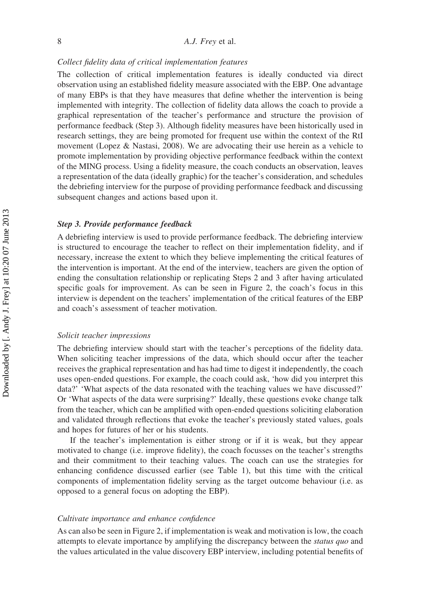# Collect fidelity data of critical implementation features

The collection of critical implementation features is ideally conducted via direct observation using an established fidelity measure associated with the EBP. One advantage of many EBPs is that they have measures that define whether the intervention is being implemented with integrity. The collection of fidelity data allows the coach to provide a graphical representation of the teacher's performance and structure the provision of performance feedback (Step 3). Although fidelity measures have been historically used in research settings, they are being promoted for frequent use within the context of the RtI movement (Lopez & Nastasi, 2008). We are advocating their use herein as a vehicle to promote implementation by providing objective performance feedback within the context of the MING process. Using a fidelity measure, the coach conducts an observation, leaves a representation of the data (ideally graphic) for the teacher's consideration, and schedules the debriefing interview for the purpose of providing performance feedback and discussing subsequent changes and actions based upon it.

# Step 3. Provide performance feedback

A debriefing interview is used to provide performance feedback. The debriefing interview is structured to encourage the teacher to reflect on their implementation fidelity, and if necessary, increase the extent to which they believe implementing the critical features of the intervention is important. At the end of the interview, teachers are given the option of ending the consultation relationship or replicating Steps 2 and 3 after having articulated specific goals for improvement. As can be seen in Figure 2, the coach's focus in this interview is dependent on the teachers' implementation of the critical features of the EBP and coach's assessment of teacher motivation.

#### Solicit teacher impressions

The debriefing interview should start with the teacher's perceptions of the fidelity data. When soliciting teacher impressions of the data, which should occur after the teacher receives the graphical representation and has had time to digest it independently, the coach uses open-ended questions. For example, the coach could ask, 'how did you interpret this data?' 'What aspects of the data resonated with the teaching values we have discussed?' Or 'What aspects of the data were surprising?' Ideally, these questions evoke change talk from the teacher, which can be amplified with open-ended questions soliciting elaboration and validated through reflections that evoke the teacher's previously stated values, goals and hopes for futures of her or his students.

If the teacher's implementation is either strong or if it is weak, but they appear motivated to change (i.e. improve fidelity), the coach focusses on the teacher's strengths and their commitment to their teaching values. The coach can use the strategies for enhancing confidence discussed earlier (see Table 1), but this time with the critical components of implementation fidelity serving as the target outcome behaviour (i.e. as opposed to a general focus on adopting the EBP).

## Cultivate importance and enhance confidence

As can also be seen in Figure 2, if implementation is weak and motivation is low, the coach attempts to elevate importance by amplifying the discrepancy between the status quo and the values articulated in the value discovery EBP interview, including potential benefits of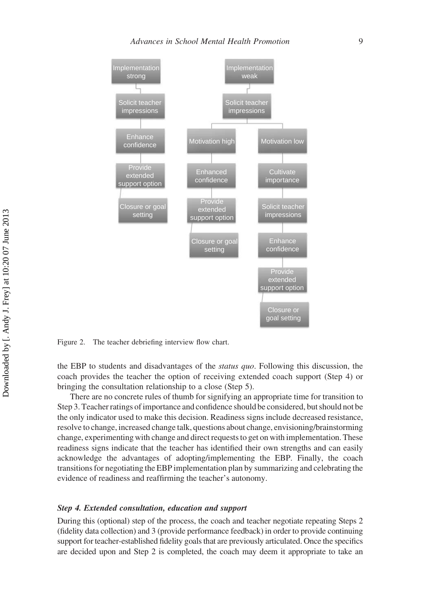

Figure 2. The teacher debriefing interview flow chart.

the EBP to students and disadvantages of the *status quo*. Following this discussion, the coach provides the teacher the option of receiving extended coach support (Step 4) or bringing the consultation relationship to a close (Step 5).

There are no concrete rules of thumb for signifying an appropriate time for transition to Step 3. Teacher ratings of importance and confidence should be considered, but should not be the only indicator used to make this decision. Readiness signs include decreased resistance, resolve to change, increased change talk, questions about change, envisioning/brainstorming change, experimenting with change and direct requests to get on with implementation. These readiness signs indicate that the teacher has identified their own strengths and can easily acknowledge the advantages of adopting/implementing the EBP. Finally, the coach transitions for negotiating the EBP implementation plan by summarizing and celebrating the evidence of readiness and reaffirming the teacher's autonomy.

# Step 4. Extended consultation, education and support

During this (optional) step of the process, the coach and teacher negotiate repeating Steps 2 (fidelity data collection) and 3 (provide performance feedback) in order to provide continuing support for teacher-established fidelity goals that are previously articulated. Once the specifics are decided upon and Step 2 is completed, the coach may deem it appropriate to take an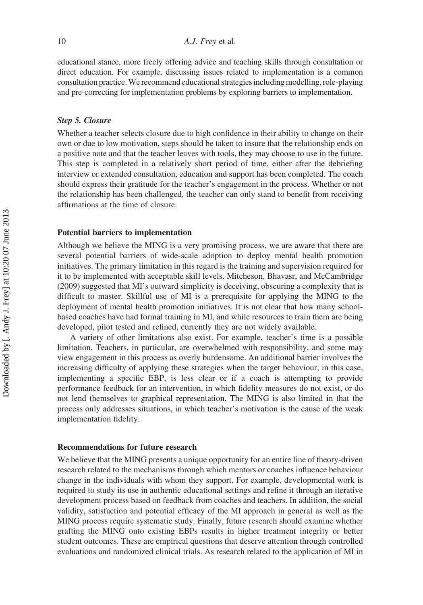educational stance, more freely offering advice and teaching skills through consultation or direct education. For example, discussing issues related to implementation is a common consultation practice.We recommend educational strategies including modelling, role-playing and pre-correcting for implementation problems by exploring barriers to implementation.

# Step 5. Closure

Whether a teacher selects closure due to high confidence in their ability to change on their own or due to low motivation, steps should be taken to insure that the relationship ends on a positive note and that the teacher leaves with tools, they may choose to use in the future. This step is completed in a relatively short period of time, either after the debriefing interview or extended consultation, education and support has been completed. The coach should express their gratitude for the teacher's engagement in the process. Whether or not the relationship has been challenged, the teacher can only stand to benefit from receiving affirmations at the time of closure.

# Potential barriers to implementation

Although we believe the MING is a very promising process, we are aware that there are several potential barriers of wide-scale adoption to deploy mental health promotion initiatives. The primary limitation in this regard is the training and supervision required for it to be implemented with acceptable skill levels. Mitcheson, Bhavasr, and McCambridge (2009) suggested that MI's outward simplicity is deceiving, obscuring a complexity that is difficult to master. Skillful use of MI is a prerequisite for applying the MING to the deployment of mental health promotion initiatives. It is not clear that how many schoolbased coaches have had formal training in MI, and while resources to train them are being developed, pilot tested and refined, currently they are not widely available.

A variety of other limitations also exist. For example, teacher's time is a possible limitation. Teachers, in particular, are overwhelmed with responsibility, and some may view engagement in this process as overly burdensome. An additional barrier involves the increasing difficulty of applying these strategies when the target behaviour, in this case, implementing a specific EBP, is less clear or if a coach is attempting to provide performance feedback for an intervention, in which fidelity measures do not exist, or do not lend themselves to graphical representation. The MING is also limited in that the process only addresses situations, in which teacher's motivation is the cause of the weak implementation fidelity.

# Recommendations for future research

We believe that the MING presents a unique opportunity for an entire line of theory-driven research related to the mechanisms through which mentors or coaches influence behaviour change in the individuals with whom they support. For example, developmental work is required to study its use in authentic educational settings and refine it through an iterative development process based on feedback from coaches and teachers. In addition, the social validity, satisfaction and potential efficacy of the MI approach in general as well as the MING process require systematic study. Finally, future research should examine whether grafting the MING onto existing EBPs results in higher treatment integrity or better student outcomes. These are empirical questions that deserve attention through controlled evaluations and randomized clinical trials. As research related to the application of MI in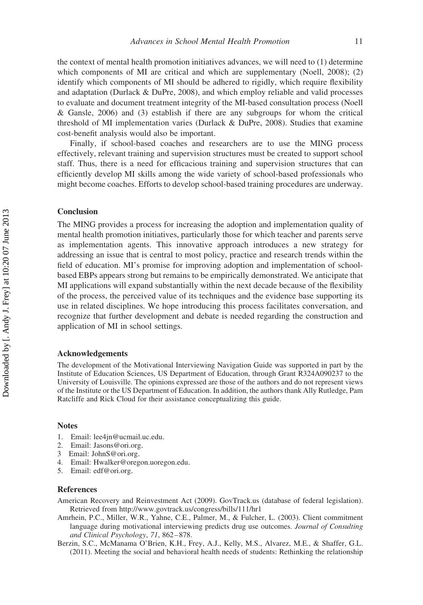the context of mental health promotion initiatives advances, we will need to (1) determine which components of MI are critical and which are supplementary (Noell, 2008); (2) identify which components of MI should be adhered to rigidly, which require flexibility and adaptation (Durlack  $&$  DuPre, 2008), and which employ reliable and valid processes to evaluate and document treatment integrity of the MI-based consultation process (Noell & Gansle, 2006) and (3) establish if there are any subgroups for whom the critical threshold of MI implementation varies (Durlack & DuPre, 2008). Studies that examine cost-benefit analysis would also be important.

Finally, if school-based coaches and researchers are to use the MING process effectively, relevant training and supervision structures must be created to support school staff. Thus, there is a need for efficacious training and supervision structures that can efficiently develop MI skills among the wide variety of school-based professionals who might become coaches. Efforts to develop school-based training procedures are underway.

#### Conclusion

The MING provides a process for increasing the adoption and implementation quality of mental health promotion initiatives, particularly those for which teacher and parents serve as implementation agents. This innovative approach introduces a new strategy for addressing an issue that is central to most policy, practice and research trends within the field of education. MI's promise for improving adoption and implementation of schoolbased EBPs appears strong but remains to be empirically demonstrated. We anticipate that MI applications will expand substantially within the next decade because of the flexibility of the process, the perceived value of its techniques and the evidence base supporting its use in related disciplines. We hope introducing this process facilitates conversation, and recognize that further development and debate is needed regarding the construction and application of MI in school settings.

#### Acknowledgements

The development of the Motivational Interviewing Navigation Guide was supported in part by the Institute of Education Sciences, US Department of Education, through Grant R324A090237 to the University of Louisville. The opinions expressed are those of the authors and do not represent views of the Institute or the US Department of Education. In addition, the authors thank Ally Rutledge, Pam Ratcliffe and Rick Cloud for their assistance conceptualizing this guide.

#### Notes

- 1. Email: lee4jn@ucmail.uc.edu. 2. Email: Jasons@ori.org.
- 
- 3 Email: JohnS@ori.org.
- 4. Email: Hwalker@oregon.uoregon.edu.
- 5. Email: edf@ori.org.

#### References

- American Recovery and Reinvestment Act (2009). GovTrack.us (database of federal legislation). Retrieved from<http://www.govtrack.us/congress/bills/111/hr1>
- Amrhein, P.C., Miller, W.R., Yahne, C.E., Palmer, M., & Fulcher, L. (2003). Client commitment language during motivational interviewing predicts drug use outcomes. Journal of Consulting and Clinical Psychology, 71, 862-878.
- Berzin, S.C., McManama O'Brien, K.H., Frey, A.J., Kelly, M.S., Alvarez, M.E., & Shaffer, G.L. (2011). Meeting the social and behavioral health needs of students: Rethinking the relationship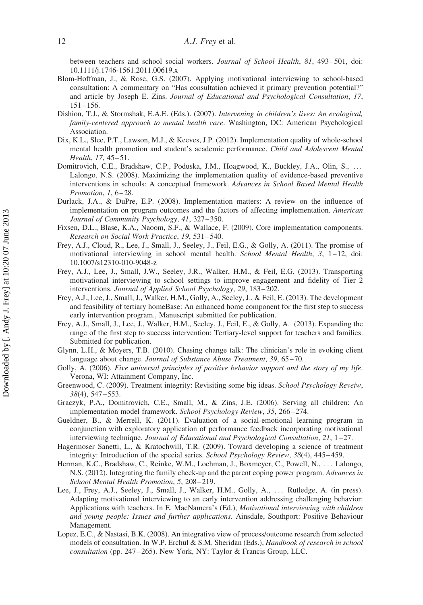between teachers and school social workers. Journal of School Health, 81, 493-501, [doi:](http://dx.doi.org/doi: 10.1111/j.1746-1561.2011.00619.x) [10.1111/j.1746-1561.2011.00619.x](http://dx.doi.org/doi: 10.1111/j.1746-1561.2011.00619.x)

- Blom-Hoffman, J., & Rose, G.S. (2007). Applying motivational interviewing to school-based consultation: A commentary on "Has consultation achieved it primary prevention potential?" and article by Joseph E. Zins. Journal of Educational and Psychological Consultation, 17,  $151 - 156$ .
- Dishion, T.J., & Stormshak, E.A.E. (Eds.). (2007). Intervening in children's lives: An ecological, family-centered approach to mental health care. Washington, DC: American Psychological Association.
- Dix, K.L., Slee, P.T., Lawson, M.J., & Keeves, J.P. (2012). Implementation quality of whole-school mental health promotion and student's academic performance. Child and Adolescent Mental Health, 17, 45-51.
- Domitrovich, C.E., Bradshaw, C.P., Poduska, J.M., Hoagwood, K., Buckley, J.A., Olin, S., ... Lalongo, N.S. (2008). Maximizing the implementation quality of evidence-based preventive interventions in schools: A conceptual framework. Advances in School Based Mental Health Promotion, 1, 6-28.
- Durlack, J.A., & DuPre, E.P. (2008). Implementation matters: A review on the influence of implementation on program outcomes and the factors of affecting implementation. American Journal of Community Psychology, 41, 327–350.
- Fixsen, D.L., Blase, K.A., Naoom, S.F., & Wallace, F. (2009). Core implementation components. Research on Social Work Practice, 19, 531-540.
- Frey, A.J., Cloud, R., Lee, J., Small, J., Seeley, J., Feil, E.G., & Golly, A. (2011). The promise of motivational interviewing in school mental health. School Mental Health,  $3$ ,  $1-12$ , [doi:](http://dx.doi.org/doi: 10.1007/s12310-010-9048-z) [10.1007/s12310-010-9048-z](http://dx.doi.org/doi: 10.1007/s12310-010-9048-z)
- Frey, A.J., Lee, J., Small, J.W., Seeley, J.R., Walker, H.M., & Feil, E.G. (2013). Transporting motivational interviewing to school settings to improve engagement and fidelity of Tier 2 interventions. Journal of Applied School Psychology, 29, 183–202.
- Frey, A.J., Lee, J., Small, J., Walker, H.M., Golly, A., Seeley, J., & Feil, E. (2013). The development and feasibility of tertiary homeBase: An enhanced home component for the first step to success early intervention program., Manuscript submitted for publication.
- Frey, A.J., Small, J., Lee, J., Walker, H.M., Seeley, J., Feil, E., & Golly, A. (2013). Expanding the range of the first step to success intervention: Tertiary-level support for teachers and families. Submitted for publication.
- Glynn, L.H., & Moyers, T.B. (2010). Chasing change talk: The clinician's role in evoking client language about change. Journal of Substance Abuse Treatment, 39, 65-70.
- Golly, A. (2006). Five universal principles of positive behavior support and the story of my life. Verona, WI: Attainment Company, Inc.
- Greenwood, C. (2009). Treatment integrity: Revisiting some big ideas. School Psychology Reveiw,  $38(4)$ ,  $547-553$ .
- Graczyk, P.A., Domitrovich, C.E., Small, M., & Zins, J.E. (2006). Serving all children: An implementation model framework. School Psychology Review, 35, 266–274.
- Gueldner, B., & Merrell, K. (2011). Evaluation of a social-emotional learning program in conjunction with exploratory application of performance feedback incorporating motivational interviewing technique. Journal of Educational and Psychological Consultation, 21, 1–27.
- Hagermoser Sanetti, L., & Kratochwill, T.R. (2009). Toward developing a science of treatment integrity: Introduction of the special series. School Psychology Review, 38(4), 445–459.
- Herman, K.C., Bradshaw, C., Reinke, W.M., Lochman, J., Boxmeyer, C., Powell, N., ... Lalongo, N.S. (2012). Integrating the family check-up and the parent coping power program. Advances in School Mental Health Promotion, 5, 208-219.
- Lee, J., Frey, A.J., Seeley, J., Small, J., Walker, H.M., Golly, A., ... Rutledge, A. (in press). Adapting motivational interviewing to an early intervention addressing challenging behavior: Applications with teachers. In E. MacNamera's (Ed.), *Motivational interviewing with children* and young people: Issues and further applications. Ainsdale, Southport: Positive Behaviour Management.
- Lopez, E.C., & Nastasi, B.K. (2008). An integrative view of process/outcome research from selected models of consultation. In W.P. Erchul & S.M. Sheridan (Eds.), Handbook of research in school consultation (pp. 247–265). New York, NY: Taylor & Francis Group, LLC.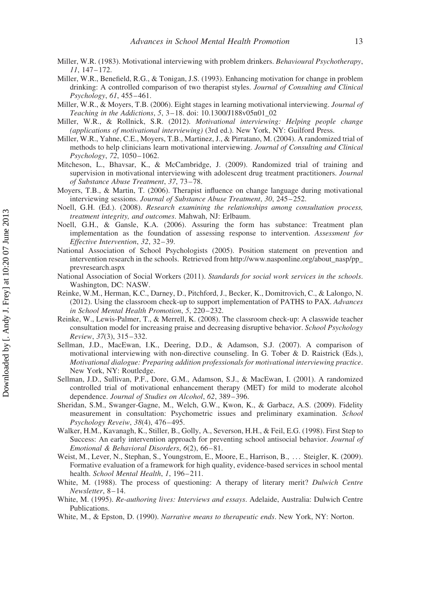- Miller, W.R. (1983). Motivational interviewing with problem drinkers. Behavioural Psychotherapy, 11, 147– 172.
- Miller, W.R., Benefield, R.G., & Tonigan, J.S. (1993). Enhancing motivation for change in problem drinking: A controlled comparison of two therapist styles. Journal of Consulting and Clinical Psychology, 61, 455– 461.
- Miller, W.R., & Moyers, T.B. (2006). Eight stages in learning motivational interviewing. Journal of Teaching in the Addictions, 5, 3 –18. [doi: 10.1300/J188v05n01\\_02](http://dx.doi.org/doi: 10.1300/J188v05n01_02)
- Miller, W.R., & Rollnick, S.R. (2012). Motivational interviewing: Helping people change (applications of motivational interviewing) (3rd ed.). New York, NY: Guilford Press.
- Miller, W.R., Yahne, C.E., Moyers, T.B., Martinez, J., & Pirratano, M. (2004). A randomized trial of methods to help clinicians learn motivational interviewing. Journal of Consulting and Clinical Psychology, 72, 1050-1062.
- Mitcheson, L., Bhavsar, K., & McCambridge, J. (2009). Randomized trial of training and supervision in motivational interviewing with adolescent drug treatment practitioners. Journal of Substance Abuse Treatment, 37, 73 – 78.
- Moyers, T.B., & Martin, T. (2006). Therapist influence on change language during motivational interviewing sessions. Journal of Substance Abuse Treatment, 30, 245–252.
- Noell, G.H. (Ed.). (2008). Research examining the relationships among consultation process, treatment integrity, and outcomes. Mahwah, NJ: Erlbaum.
- Noell, G.H., & Gansle, K.A. (2006). Assuring the form has substance: Treatment plan implementation as the foundation of assessing response to intervention. Assessment for Effective Intervention, 32, 32-39.
- National Association of School Psychologists (2005). Position statement on prevention and intervention research in the schools. Retrieved from [http://www.nasponline.org/about\\_nasp/pp\\_](http://www.nasponline.org/about_nasp/pp_prevresearch.aspx) [prevresearch.aspx](http://www.nasponline.org/about_nasp/pp_prevresearch.aspx)
- National Association of Social Workers (2011). Standards for social work services in the schools. Washington, DC: NASW.
- Reinke, W.M., Herman, K.C., Darney, D., Pitchford, J., Becker, K., Domitrovich, C., & Lalongo, N. (2012). Using the classroom check-up to support implementation of PATHS to PAX. Advances in School Mental Health Promotion, 5, 220-232.
- Reinke, W., Lewis-Palmer, T., & Merrell, K. (2008). The classroom check-up: A classwide teacher consultation model for increasing praise and decreasing disruptive behavior. School Psychology Review, 37(3), 315– 332.
- Sellman, J.D., MacEwan, I.K., Deering, D.D., & Adamson, S.J. (2007). A comparison of motivational interviewing with non-directive counseling. In G. Tober & D. Raistrick (Eds.), Motivational dialogue: Preparing addition professionals for motivational interviewing practice. New York, NY: Routledge.
- Sellman, J.D., Sullivan, P.F., Dore, G.M., Adamson, S.J., & MacEwan, I. (2001). A randomized controlled trial of motivational enhancement therapy (MET) for mild to moderate alcohol dependence. Journal of Studies on Alcohol, 62, 389–396.
- Sheridan, S.M., Swanger-Gagne, M., Welch, G.W., Kwon, K., & Garbacz, A.S. (2009). Fidelity measurement in consultation: Psychometric issues and preliminary examination. School Psychology Reveiw, 38(4), 476– 495.
- Walker, H.M., Kavanagh, K., Stiller, B., Golly, A., Severson, H.H., & Feil, E.G. (1998). First Step to Success: An early intervention approach for preventing school antisocial behavior. Journal of Emotional & Behavioral Disorders, 6(2), 66-81.
- Weist, M., Lever, N., Stephan, S., Youngstrom, E., Moore, E., Harrison, B., ... Steigler, K. (2009). Formative evaluation of a framework for high quality, evidence-based services in school mental health. School Mental Health, 1, 196-211.
- White, M. (1988). The process of questioning: A therapy of literary merit? Dulwich Centre Newsletter, 8-14.
- White, M. (1995). Re-authoring lives: Interviews and essays. Adelaide, Australia: Dulwich Centre Publications.
- White, M., & Epston, D. (1990). Narrative means to therapeutic ends. New York, NY: Norton.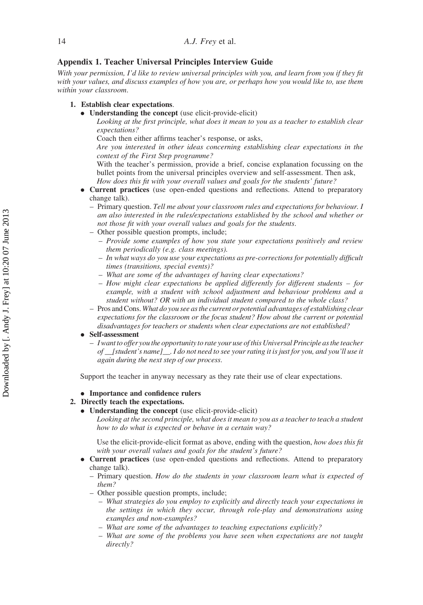# Appendix 1. Teacher Universal Principles Interview Guide

With your permission, I'd like to review universal principles with you, and learn from you if they fit with your values, and discuss examples of how you are, or perhaps how you would like to, use them within your classroom.

# 1. Establish clear expectations.

- . Understanding the concept (use elicit-provide-elicit)
	- Looking at the first principle, what does it mean to you as a teacher to establish clear expectations?
		- Coach then either affirms teacher's response, or asks,

Are you interested in other ideas concerning establishing clear expectations in the context of the First Step programme?

With the teacher's permission, provide a brief, concise explanation focussing on the bullet points from the universal principles overview and self-assessment. Then ask, How does this fit with your overall values and goals for the students' future?

- . Current practices (use open-ended questions and reflections. Attend to preparatory change talk).
	- Primary question. Tell me about your classroom rules and expectations for behaviour. I am also interested in the rules/expectations established by the school and whether or not those fit with your overall values and goals for the students.
	- Other possible question prompts, include;
		- Provide some examples of how you state your expectations positively and review them periodically (e.g. class meetings).
		- In what ways do you use your expectations as pre-corrections for potentially difficult times (transitions, special events)?
		- What are some of the advantages of having clear expectations?
		- $-$  How might clear expectations be applied differently for different students  $-$  for example, with a student with school adjustment and behaviour problems and a student without? OR with an individual student compared to the whole class?
	- Pros and Cons. What do you see as the current or potential advantages of establishing clear expectations for the classroom or the focus student? How about the current or potential disadvantages for teachers or students when clear expectations are not established?

# . Self-assessment

– I want to offer you the opportunity to rate your use of this Universal Principle asthe teacher of \_\_[student's name]\_\_. I do not need to see your rating it is just for you, and you'll use it again during the next step of our process.

Support the teacher in anyway necessary as they rate their use of clear expectations.

# . Importance and confidence rulers

### 2. Directly teach the expectations.

. Understanding the concept (use elicit-provide-elicit)

Looking at the second principle, what does it mean to you as a teacher to teach a student how to do what is expected or behave in a certain way?

Use the elicit-provide-elicit format as above, ending with the question, how does this fit with your overall values and goals for the student's future?

- . Current practices (use open-ended questions and reflections. Attend to preparatory change talk).
	- Primary question. How do the students in your classroom learn what is expected of them?
	- Other possible question prompts, include;
		- What strategies do you employ to explicitly and directly teach your expectations in the settings in which they occur, through role-play and demonstrations using examples and non-examples?
		- What are some of the advantages to teaching expectations explicitly?
		- What are some of the problems you have seen when expectations are not taught directly?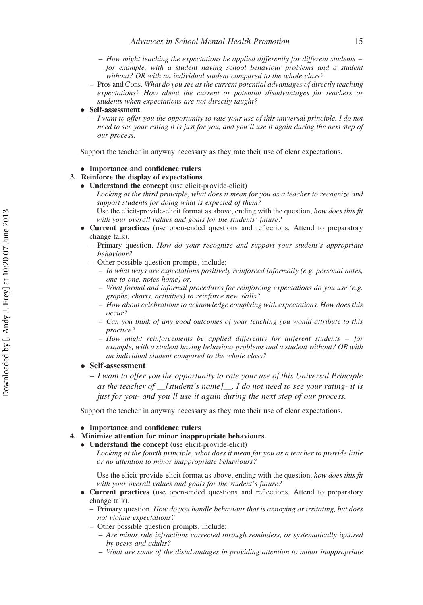- How might teaching the expectations be applied differently for different students for example, with a student having school behaviour problems and a student without? OR with an individual student compared to the whole class?
- Pros and Cons. What do you see as the current potential advantages of directly teaching expectations? How about the current or potential disadvantages for teachers or students when expectations are not directly taught?

#### . Self-assessment

– I want to offer you the opportunity to rate your use of this universal principle. I do not need to see your rating it is just for you, and you'll use it again during the next step of our process.

Support the teacher in anyway necessary as they rate their use of clear expectations.

#### . Importance and confidence rulers

#### 3. Reinforce the display of expectations.

- . Understand the concept (use elicit-provide-elicit)
	- Looking at the third principle, what does it mean for you as a teacher to recognize and support students for doing what is expected of them?

Use the elicit-provide-elicit format as above, ending with the question, how does this fit with your overall values and goals for the students' future?

- . Current practices (use open-ended questions and reflections. Attend to preparatory change talk).
	- Primary question. How do your recognize and support your student's appropriate behaviour?
	- Other possible question prompts, include;
		- In what ways are expectations positively reinforced informally (e.g. personal notes, one to one, notes home) or,
		- What formal and informal procedures for reinforcing expectations do you use (e.g. graphs, charts, activities) to reinforce new skills?
		- How about celebrations to acknowledge complying with expectations. How does this occur?
		- Can you think of any good outcomes of your teaching you would attribute to this practice?
		- How might reinforcements be applied differently for different students for example, with a student having behaviour problems and a student without? OR with an individual student compared to the whole class?
- . Self-assessment
	- I want to offer you the opportunity to rate your use of this Universal Principle as the teacher of \_\_[student's name]\_\_. I do not need to see your rating- it is just for you- and you'll use it again during the next step of our process.

Support the teacher in anyway necessary as they rate their use of clear expectations.

#### . Importance and confidence rulers

- 4. Minimize attention for minor inappropriate behaviours.
	- . Understand the concept (use elicit-provide-elicit)

Looking at the fourth principle, what does it mean for you as a teacher to provide little or no attention to minor inappropriate behaviours?

Use the elicit-provide-elicit format as above, ending with the question, how does this fit with your overall values and goals for the student's future?

- . Current practices (use open-ended questions and reflections. Attend to preparatory change talk).
	- Primary question. How do you handle behaviour that is annoying or irritating, but does not violate expectations?
	- Other possible question prompts, include;
		- Are minor rule infractions corrected through reminders, or systematically ignored by peers and adults?
		- What are some of the disadvantages in providing attention to minor inappropriate